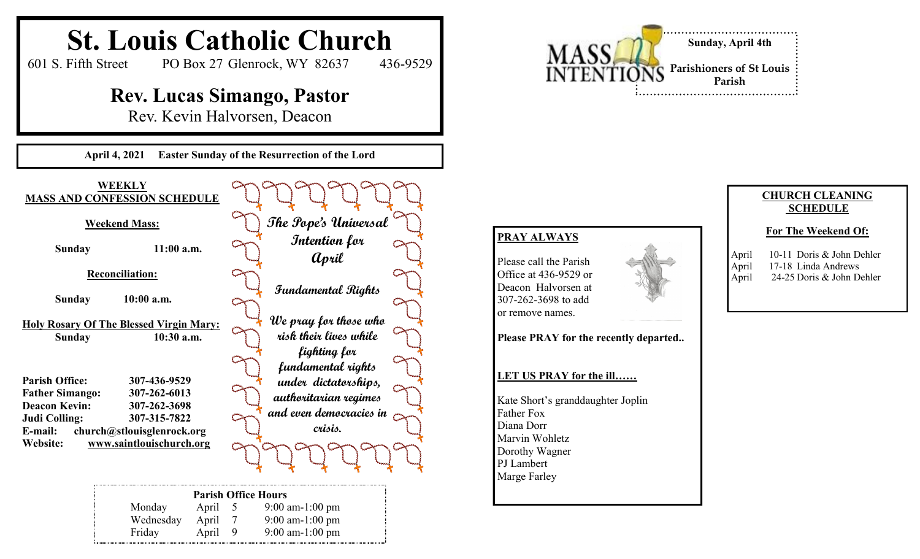

Monday April 5 9:00 am-1:00 pm Wednesday April 7 9:00 am-1:00 pm Friday April 9 9:00 am-1:00 pm

# **SCHEDULE**

#### **For The Weekend Of:**

| April | 10-11 Doris & John Dehler |
|-------|---------------------------|
| April | 17-18 Linda Andrews       |
| April | 24-25 Doris & John Dehler |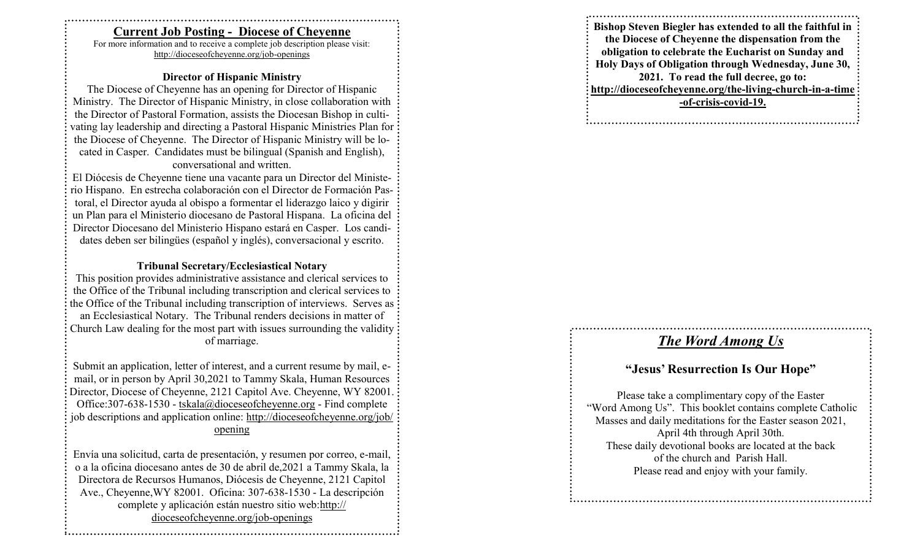#### **Current Job Posting - Diocese of Cheyenne**

For more information and to receive a complete job description please visit: http://dioceseofcheyenne.org/job -openings

#### **Director of Hispanic Ministry**

The Diocese of Cheyenne has an opening for Director of Hispanic Ministry. The Director of Hispanic Ministry, in close collaboration with the Director of Pastoral Formation, assists the Diocesan Bishop in cultivating lay leadership and directing a Pastoral Hispanic Ministries Plan for the Diocese of Cheyenne. The Director of Hispanic Ministry will be located in Casper. Candidates must be bilingual (Spanish and English), conversational and written.

El Diócesis de Cheyenne tiene una vacante para un Director del Ministerio Hispano. En estrecha colaboración con el Director de Formación Pastoral, el Director ayuda al obispo a formentar el liderazgo laico y digirir un Plan para el Ministerio diocesano de Pastoral Hispana. La oficina del Director Diocesano del Ministerio Hispano estará en Casper. Los candidates deben ser bilingües (español y inglés), conversacional y escrito.

#### **Tribunal Secretary/Ecclesiastical Notary**

This position provides administrative assistance and clerical services to the Office of the Tribunal including transcription and clerical services to the Office of the Tribunal including transcription of interviews. Serves as an Ecclesiastical Notary. The Tribunal renders decisions in matter of Church Law dealing for the most part with issues surrounding the validity of marriage.

Submit an application, letter of interest, and a current resume by mail, email, or in person by April 30,2021 to Tammy Skala, Human Resources Director, Diocese of Cheyenne, 2121 Capitol Ave. Cheyenne, WY 82001. Office: 307-638-1530 - tskala@dioceseofcheyenne.org - Find complete job descriptions and application online: http://dioceseofcheyenne.org/job/ opening

Envía una solicitud, carta de presentación, y resumen por correo, e -mail, o a la oficina diocesano antes de 30 de abril de,2021 a Tammy Skala, la Directora de Recursos Humanos, Diócesis de Cheyenne, 2121 Capitol Ave., Cheyenne, WY 82001. Oficina: 307-638-1530 - La descripción complete y aplicación están nuestro sitio web:http:// dioceseofcheyenne.org/job -openings

**Bishop Steven Biegler has extended to all the faithful in the Diocese of Cheyenne the dispensation from the obligation to celebrate the Eucharist on Sunday and Holy Days of Obligation through Wednesday, June 30, 2021. To read the full decree, go to: http://dioceseofcheyenne.org/the -living -church -in - a -time -of-crisis -covid -19.**

### *The Word Among Us*

### **"Jesus' Resurrection Is Our Hope"**

Please take a complimentary copy of the Easter "Word Among Us". This booklet contains complete Catholic Masses and daily meditations for the Easter season 2021, April 4th through April 30th. These daily devotional books are located at the back of the church and Parish Hall. Please read and enjoy with your family.